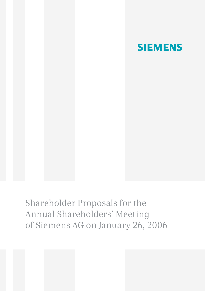

Shareholder Proposals for the Annual Shareholders' Meeting of Siemens AG on January 26, 2006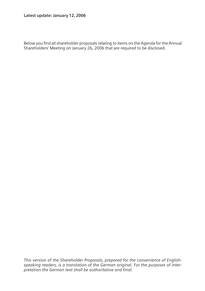Below you find all shareholder proposals relating to items on the Agenda for the Annual Shareholders' Meeting on January 26, 2006 that are required to be disclosed.

*This version of the Shareholder Proposals, prepared for the convenience of Englishspeaking readers, is a translation of the German original. For the purposes of interpretation the German text shall be authoritative and final.*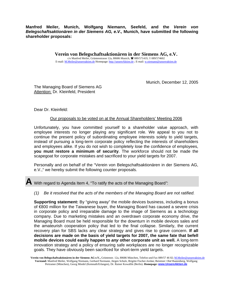**Manfred Meiler, Munich, Wolfgang Niemann, Seefeld, and the** *Verein von Belegschaftsaktionären in der Siemens AG, e.V.,* **Munich, have submitted the following shareholder proposals:** 

> **Verein von Belegschaftsaktionären in der Siemens AG, e.V.** c/o Manfred Meiler, Grüntenstrasse 12a, 80686 Munich,  $\mathbf{\mathcal{C}}$  089/571419,  $\mathbf{\mathcal{C}}$  089/574602 E-mail: M.Meiler@unsereaktien.de Homepage: http://unsereAktien.de ; E-mail: w.niemann@unsereaktien.de

> > Munich, December 12, 2005

The Managing Board of Siemens AG Attention: Dr. Kleinfeld, President

Dear Dr. Kleinfeld:

#### Our proposals to be voted on at the Annual Shareholders' Meeting 2006

Unfortunately, you have committed yourself to a shareholder value approach, with employee interests no longer playing any significant role. We appeal to you not to continue the present policy of subordinating employee interests solely to yield targets, instead of pursuing a long-term corporate policy reflecting the interests of shareholders and employees alike. If you do not wish to completely lose the confidence of employees, **you must restore a minimum of security**. The workforce should not be made the scapegoat for corporate mistakes and sacrificed to your yield targets for 2007.

Personally and on behalf of the "Verein von Belegschaftsaktionären in der Siemens AG, e.V.," we hereby submit the following counter proposals.

**A** With regard to Agenda Item 4, "To ratify the acts of the Managing Board*"*:

*(1) Be it resolved that the acts of the members of the Managing Board are not ratified.* 

**Supporting statement:** By "giving away" the mobile devices business, including a bonus of €800 million for the Taiwanese buyer, the Managing Board has caused a severe crisis in corporate policy and irreparable damage to the image of Siemens as a technology company. Due to marketing mistakes and an overdrawn corporate economy drive, the Managing Board must be held responsible for the downturn in mobile devices sales and the amateurish cooperation policy that led to the final collapse. Similarly, the current recovery plan for SBS lacks any clear strategy and gives rise to grave concern. **If all decisions are made on the basis of yield targets for 2007, the same fate that befell mobile devices could easily happen to** *any* **other corporate unit as well.** A long-term innovation strategy and a policy of ensuring safe workplaces are no longer recognizable goals. They have obviously been sacrificed for short-term yield targets.

Verein von Belegschaftsaktionären in der Siemens AG e.V., Grüntenstr. 12a, 80686 München, Telefon und Fax 089/57 46 02; [M.Meiler@unsereaktien.de](mailto:M.Meiler@unseraktien.de) **Vorstand:** Manfred Meiler, Wolfgang Niemann, Gerhard Normann, Jürgen Schulz, Brigitte Fischer-Jordan; B[eisitzer: Olaf Rautenberg, W](http://www.unsereaktien.de/)olfgang Pertramer (München), Georg Miedel (Kemnath/Erlangen), Dr. Rainer Kowallik (Berlin). **Homepage: www.UnsereAktien.de**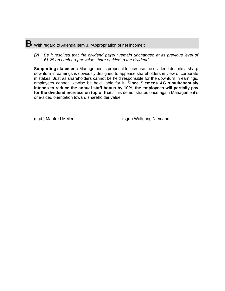# **B** With regard to Agenda Item 3, "Appropriation of net income*"*:

*(2) Be it resolved that the dividend payout remain unchanged at its previous level of €1.25 on each no-par value share entitled to the dividend.* 

**Supporting statement:** Management's proposal to increase the dividend despite a sharp downturn in earnings is obviously designed to appease shareholders in view of corporate mistakes. Just as shareholders cannot be held responsible for the downturn in earnings, employees cannot likewise be held liable for it. **Since Siemens AG simultaneously intends to reduce the annual staff bonus by 10%, the employees will partially pay for the dividend increase on top of that.** This demonstrates once again Management's one-sided orientation toward shareholder value.

(sgd.) Manfred Meiler (sgd.) Wolfgang Niemann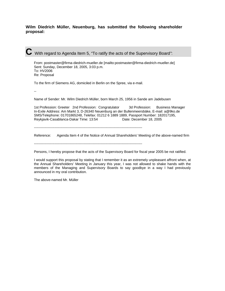#### **Wilm Diedrich Müller, Neuenburg, has submitted the following shareholder proposal:**

**C** With regard to Agenda Item 5, "To ratify the acts of the Supervisory Board*"*:

From: postmaster@firma-diedrich-mueller.de [mailto:postmaster@firma-diedrich-mueller.de] Sent: Sunday, December 18, 2005, 3:03 p.m. To: HV2006 Re: Proposal

To the firm of Siemens AG, domiciled in Berlin on the Spree, via e-mail.

--

Name of Sender: Mr. Wilm Diedrich Müller, born March 25, 1956 in Sande am Jadebusen

1st Profession: Greeter 2nd Profession: Congratulator 3d Profession: Business Manager In-Exile Address: Am Markt 3, D-26340 Neuenburg an der Bullenmeersbäke, E-mail: a@9ko.de SMS/Telephone: 01701865248, Telefax: 01212 6 1889 1889, Passport Number: 182017195, Reykjavik-Casablanca-Dakar Time: 13:54 Date: December 18, 2005

----------------------------------------------------------------------------------------------

Reference: Agenda Item 4 of the Notice of Annual Shareholders' Meeting of the above-named firm

----------------------------------------------------------------------------------------------

Persons, I hereby propose that the acts of the Supervisory Board for fiscal year 2005 be not ratified.

I would support this proposal by stating that I remember it as an extremely unpleasant affront when, at the Annual Shareholders' Meeting in January this year, I was not allowed to shake hands with the members of the Managing and Supervisory Boards to say goodbye in a way I had previously announced in my oral contribution.

The above-named Mr. Müller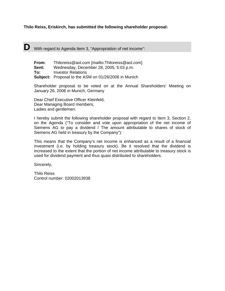#### **Thilo Reiss, Eriskirch, has submitted the following shareholder proposal:**

**D** With regard to Agenda Item 3, "Appropriation of net income*"*:

| From: | Thiloreiss@aol.com [mailto:Thiloreiss@aol.com]              |
|-------|-------------------------------------------------------------|
| Sent: | Wednesday, December 28, 2005, 5:03 p.m.                     |
| To:   | Investor Relations                                          |
|       | <b>Subject:</b> Proposal to the ASM on 01/26/2006 in Munich |

Shareholder proposal to be voted on at the Annual Shareholders' Meeting on January 26, 2006 in Munich, Germany

Dear Chief Executive Officer Kleinfeld, Dear Managing Board members, Ladies and gentlemen:

I hereby submit the following shareholder proposal with regard to Item 3, Section 2, on the Agenda ("To consider and vote upon appropriation of the net income of Siemens AG to pay a dividend / The amount attributable to shares of stock of Siemens AG held in treasury by the Company"):

This means that the Company's net income is enhanced as a result of a financial investment (i.e. by holding treasury stock). Be it resolved that the dividend is increased to the extent that the portion of net income attributable to treasury stock is used for dividend payment and thus quasi distributed to shareholders.

Sincerely,

Thilo Reiss Control number: 02002013938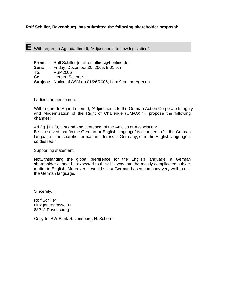**Rolf Schiller, Ravensburg, has submitted the following shareholder proposal:** 

**E** With regard to Agenda Item 9, "Adjustments to new legislation*"*:

| From:  | Rolf Schiller [mailto:multirec@t-online.de]                |
|--------|------------------------------------------------------------|
| Sent:  | Friday, December 30, 2005, 5:01 p.m.                       |
| To:    | ASM2006                                                    |
| $Cc$ : | <b>Herbert Schorer</b>                                     |
|        | Subject: Notice of ASM on 01/26/2006, Item 9 on the Agenda |

Ladies and gentlemen:

With regard to Agenda Item 9, "Adjustments to the German Act on Corporate Integrity and Modernization of the Right of Challenge (UMAG)," I propose the following changes:

Ad (c) §19 (3), 1st and 2nd sentence, of the Articles of Association: Be it resolved that "in the German **or** English language" is changed to "in the German language if the shareholder has an address in Germany, or in the English language if so desired."

Supporting statement:

Notwithstanding the global preference for the English language, a German shareholder cannot be expected to think his way into the mostly complicated subject matter in English. Moreover, it would suit a German-based company very well to use the German language.

Sincerely,

Rolf Schiller Linzgauerstrasse 31 88212 Ravensburg

Copy to: BW-Bank Ravensburg, H. Schorer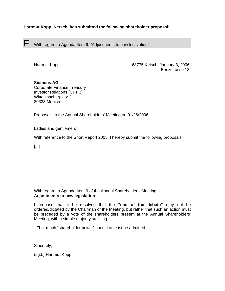## **Hartmut Kopp, Ketsch, has submitted the following shareholder proposal:**

**F** With regard to Agenda Item 9, "Adjustments to new legislation*"*:

Hartmut Kopp 68775 Ketsch, January 3, 2006 Benzstrasse 13

### **Siemens AG**

Corporate Finance Treasury Investor Relations (CFT 3) Wittelsbacherplatz 2 80333 Munich

Proposals to the Annual Shareholders' Meeting on 01/26/2006

Ladies and gentlemen:

With reference to the Short Report 2005, I hereby submit the following proposals:

[...]

With regard to Agenda Item 9 of the Annual Shareholders' Meeting: **Adjustments to new legislation**:

I propose that it be resolved that the **"end of the debate"** may not be ordered/dictated by the Chairman of the Meeting, but rather that such an action must be preceded by a vote of the shareholders present at the Annual Shareholders' Meeting, with a simple majority sufficing.

- That much "shareholder power" should at least be admitted.

Sincerely,

(sgd.) Hartmut Kopp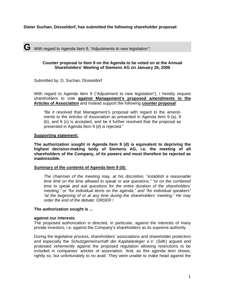### **Dieter Suchan, Düsseldorf, has submitted the following shareholder proposal:**

**G** With regard to Agenda Item 9, "Adjustments to new legislation*"*:

#### **Counter proposal to Item 9 on the Agenda to be voted on at the Annual Shareholders' Meeting of Siemens AG on January 26, 2006**

Submitted by: D. Suchan, Düsseldorf

With regard to Agenda Item 9 ("Adjustment to new legislation"), I hereby request shareholders to vote **against Management's proposed amendments to the Articles of Association** and instead support the following **counter proposal**:

"Be it resolved that Management's proposal with regard to the amendments to the Articles of Association as presented in Agenda Item 9 (a), 9 (b), and 9 (c) is accepted, and be it further resolved that the proposal as presented in Agenda Item 9 (d) is rejected."

#### **Supporting statement:**

**The authorization sought in Agenda Item 9 (d) is equivalent to depriving the highest decision-making body of Siemens AG, i.e. the meeting of all shareholders of the Company, of its powers and must therefore be rejected as inadmissible.** 

#### **Summary of the contents of Agenda Item 9 (d):**

*The chairman of the meeting may, at his discretion, "establish a reasonable time limit on the time allowed to speak or ask questions," "or on the combined time to speak and ask questions for the entire duration of the shareholders' meeting," or "for individual items on the agenda," and "for individual speakers" "at the beginning of or at any time during the shareholders' meeting." He may order the end of the debate: ORDER !* 

#### **The authorization sought is ...**

#### **against our interests**

The proposed authorization is directed, in particular, against the interests of many private investors, i.e. against the Company's shareholders as its supreme authority.

During the legislative process, shareholders' associations and shareholder protectors and especially the *Schutzgemeinschaft der Kapitalanleger e.V.* (SdK) argued and protested vehemently against the proposed regulation allowing restrictions to be included in companies' articles of association. And, as this agenda item shows, rightly so, but unfortunately to no avail. They were unable to make head against the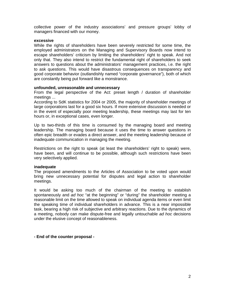collective power of the industry associations' and pressure groups' lobby of managers financed with our money.

#### **excessive**

While the rights of shareholders have been severely restricted for some time, the employed administrators on the Managing and Supervisory Boards now intend to escape shareholders' criticism by limiting the shareholders' right to speak. And not only that. They also intend to restrict the fundamental right of shareholders to seek answers to questions about the administrators' management practices, i.e. the right to ask questions. This would have disastrous consequences on transparency and good corporate behavior (outlandishly named "corporate governance"), both of which are constantly being put forward like a monstrance.

#### **unfounded, unreasonable and unnecessary**

From the legal perspective of the Act: preset length / duration of shareholder meetings ...

According to SdK statistics for 2004 or 2005, the majority of shareholder meetings of large corporations last for a good six hours. If more extensive discussion is needed or in the event of especially poor meeting leadership, these meetings may last for ten hours or, in exceptional cases, even longer.

Up to two-thirds of this time is consumed by the managing board and meeting leadership. The managing board because it uses the time to answer questions in often epic breadth or evades a direct answer, and the meeting leadership because of inadequate communication in managing the meeting.

Restrictions on the right to speak (at least the shareholders' right to speak) were, have been, and will continue to be possible, although such restrictions have been very selectively applied.

#### **inadequate**

The proposed amendments to the Articles of Association to be voted upon would bring new unnecessary potential for disputes and legal action to shareholder meetings.

It would be asking too much of the chairman of the meeting to establish spontaneously and *ad hoc* "at the beginning" or "during" the shareholder meeting a reasonable limit on the time allowed to speak on individual agenda items or even limit the speaking time of individual shareholders in advance. This is a near impossible task, bearing a high risk of subjective and arbitrary reactions. Due to the dynamics of a meeting, nobody can make dispute-free and legally untouchable *ad hoc* decisions under the elusive concept of reasonableness.

#### **- End of the counter proposal -**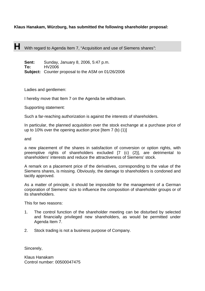# **Klaus Hanakam, Würzburg, has submitted the following shareholder proposal:**

**H** With regard to Agenda Item 7, "Acquisition and use of Siemens shares*"*:

**Sent:** Sunday, January 8, 2006, 5:47 p.m. **To:** HV2006 **Subject:** Counter proposal to the ASM on 01/26/2006

Ladies and gentlemen:

I hereby move that Item 7 on the Agenda be withdrawn.

Supporting statement:

Such a far-reaching authorization is against the interests of shareholders.

In particular, the planned acquisition over the stock exchange at a purchase price of up to 10% over the opening auction price [Item 7 (b) (1)]

and

a new placement of the shares in satisfaction of conversion or option rights, with preemptive rights of shareholders excluded [7 (c) (2)], are detrimental to shareholders' interests and reduce the attractiveness of Siemens' stock.

A remark on a placement price of the derivatives, corresponding to the value of the Siemens shares, is missing. Obviously, the damage to shareholders is condoned and tacitly approved.

As a matter of principle, it should be impossible for the management of a German corporation of Siemens' size to influence the composition of shareholder groups or of its shareholders.

This for two reasons:

- 1. The control function of the shareholder meeting can be disturbed by selected and financially privileged new shareholders, as would be permitted under Agenda Item 7.
- 2. Stock trading is not a business purpose of Company.

Sincerely,

Klaus Hanakam Control number: 00500047475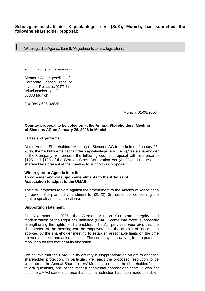# **Schutzgemeinschaft der Kapitalanleger e.V. (SdK), Munich, has submitted the following shareholder proposal:**

**I** With regard to Agenda Item 9, "Adjustments to new legislation":

SdK e.V. • Karlsplatz 3 • 80335 Munich

Siemens Aktiengesellschaft Corporate Finance Treasury Investor Relations (CFT 3) Wittelsbacherplatz 2 80333 Munich

Fax 089 / 636-32830

Munich, 01/09/2006

#### **Counter proposal to be voted on at the Annual Shareholders' Meeting of Siemens AG on January 26, 2006 in Munich**

Ladies and gentlemen:

At the Annual Shareholders' Meeting of Siemens AG to be held on January 26, 2006, the "Schutzgemeinschaft der Kapitalanleger e.V. (SdK)," as a shareholder of the Company, will present the following counter proposal with reference to §125 and §126 of the German Stock Corporation Act (AktG) and request the shareholders present at the meeting to support our proposal:

#### **With regard to Agenda Item 9: To consider and vote upon amendments to the Articles of Association to adjust to the UMAG**

The SdK proposes to vote against the amendment to the Articles of Association (in view of the planned amendment to §21 (2), 3rd sentence, concerning the right to speak and ask questions).

#### **Supporting statement:**

On November 1, 2005, the German Act on Corporate Integrity and Modernization of the Right of Challenge (UMAG) came into force, supposedly strengthening the rights of shareholders. The Act provides, *inter alia*, that the chairperson of the meeting can be empowered by the articles of association adopted by the shareholder meeting to establish reasonable limits on the time allowed to speak and ask questions. The company is, however, free to pursue a resolution on this matter at its discretion.

We believe that the UMAG in its entirety is inappropriate as an act to enhance shareholder protection. In particular, we reject the proposed resolution to be voted on at the Annual Shareholders' Meeting to restrict the shareholders' right to ask questions, one of the most fundamental shareholder rights. It was not until the UMAG came into force that such a restriction has been made possible.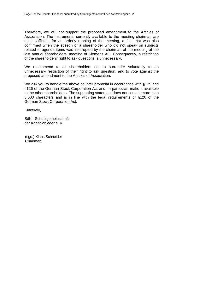Therefore, we will not support the proposed amendment to the Articles of Association. The instruments currently available to the meeting chairman are quite sufficient for an orderly running of the meeting, a fact that was also confirmed when the speech of a shareholder who did not speak on subjects related to agenda items was interrupted by the chairman of the meeting at the last annual shareholders' meeting of Siemens AG. Consequently, a restriction of the shareholders' right to ask questions is unnecessary.

We recommend to all shareholders not to surrender voluntarily to an unnecessary restriction of their right to ask question, and to vote against the proposed amendment to the Articles of Association.

We ask you to handle the above counter proposal in accordance with §125 and §126 of the German Stock Corporation Act and, in particular, make it available to the other shareholders. The supporting statement does not contain more than 5,000 characters and is in line with the legal requirements of §126 of the German Stock Corporation Act.

Sincerely,

SdK - Schutzgemeinschaft der Kapitalanleger e. V.

(sgd.) Klaus Schneider Chairman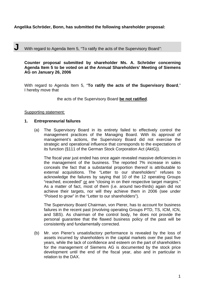# **Angelika Schröder, Bonn, has submitted the following shareholder proposal:**

# **J** With regard to Agenda Item 5, "To ratify the acts of the Supervisory Board*"*:

**Counter proposal submitted by shareholder Ms. A. Schröder concerning Agenda Item 5 to be voted on at the Annual Shareholders' Meeting of Siemens AG on January 26, 2006** 

With regard to Agenda Item 5, "**To ratify the acts of the Supervisory Board**," I hereby move that

the acts of the Supervisory Board **be not ratified**.

#### Supporting statement:

#### **1. Entrepreneurial failures**

(a) The Supervisory Board in its entirety failed to effectively control the management practices of the Managing Board. With its approval of management's actions, the Supervisory Board did not exercise the strategic and operational influence that corresponds to the expectations of its function (§111 of the German Stock Corporation Act (AktG)).

The fiscal year just ended has once again revealed massive deficiencies in the management of the business. The reported 7% increase in sales conceals the fact that a substantial proportion thereof is attributable to external acquisitions. The "Letter to our shareholders" refuses to acknowledge the failures by saying that 10 of the 12 operating Groups "reached, exceeded" or are "closing in on their respective target margins." As a matter of fact, most of them (i.e. around two-thirds) again did not achieve their targets, nor will they achieve them in 2006 (see under "Poised to grow" in the "Letter to our shareholders").

The Supervisory Board Chairman, von Pierer, has to account for business failures in the recent past (involving operating Groups PTD, TS, ICM, ICN, and SBS). As chairman of the control body, he does not provide the personal guarantee that the flawed business policy of the past will be consistently and fundamentally corrected.

(b) Mr. von Pierer's unsatisfactory performance is revealed by the loss of assets incurred by shareholders in the capital markets over the past five years, while the lack of confidence and esteem on the part of shareholders for the management of Siemens AG is documented by the stock price development until the end of the fiscal year, also and in particular in relation to the DAX.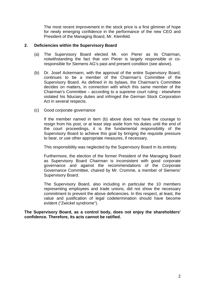The most recent improvement in the stock price is a first glimmer of hope for newly emerging confidence in the performance of the new CEO and President of the Managing Board, Mr. Kleinfeld.

# **2. Deficiencies within the Supervisory Board**

- (a) The Supervisory Board elected Mr. von Pierer as its Chairman, notwithstanding the fact that von Pierer is largely responsible or coresponsible for Siemens AG's past and present condition (see above).
- (b) Dr. Josef Ackermann, with the approval of the entire Supervisory Board, continues to be a member of the Chairman's Committee of the Supervisory Board. As defined in its bylaws, the Chairman's Committee decides on matters, in connection with which this same member of the Chairman's Committee – according to a supreme court ruling - elsewhere violated his fiduciary duties and infringed the German Stock Corporation Act in several respects.
- (c) Good corporate governance

If the member named in item (b) above does not have the courage to resign from his post, or at least step aside from his duties until the end of the court proceedings, it is the fundamental responsibility of the Supervisory Board to achieve this goal by bringing the requisite pressure to bear, or use other appropriate measures, if necessary.

This responsibility was neglected by the Supervisory Board in its entirety.

Furthermore, the election of the former President of the Managing Board as Supervisory Board Chairman is inconsistent with good corporate governance and against the recommendations of the Corporate Governance Committee, chaired by Mr. Cromme, a member of Siemens' Supervisory Board.

The Supervisory Board, also including in particular the 10 members representing employees and trade unions, did not show the necessary commitment to prevent the above deficiencies. In this respect, at least, the value and justification of legal codetermination should have become evident ("Zwickel syndrome").

**The Supervisory Board, as a control body, does not enjoy the shareholders' confidence. Therefore, its acts cannot be ratified.**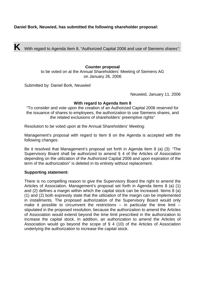**K** With regard to Agenda Item 8, "Authorized Capital 2006 and use of Siemens shares*"*:

**Counter proposal**  to be voted on at the Annual Shareholders' Meeting of Siemens AG on January 26, 2006

Submitted by: Daniel Bork, Neuwied

Neuwied, January 11, 2006

### **With regard to Agenda Item 8**

"To consider and vote upon the creation of an Authorized Capital 2006 reserved for the issuance of shares to employees, the authorization to use Siemens shares, and the related exclusions of shareholders' preemptive rights"

Resolution to be voted upon at the Annual Shareholders' Meeting:

Management's proposal with regard to Item 8 on the Agenda is accepted with the following changes:

Be it resolved that Management's proposal set forth in Agenda Item 8 (a) (3): "The Supervisory Board shall be authorized to amend § 4 of the Articles of Association depending on the utilization of the Authorized Capital 2006 and upon expiration of the term of the authorization" is deleted in its entirety without replacement.

### **Supporting statement:**

There is no compelling reason to give the Supervisory Board the right to amend the Articles of Association. Management's proposal set forth in Agenda Items 8 (a) (1) and (2) defines a margin within which the capital stock can be increased. Items 8 (a) (1) and (2) both expressly state that the utilization of the margin can be implemented in installments. The proposed authorization of the Supervisory Board would only make it possible to circumvent the restrictions -- in particular the time limit -stipulated in the proposed resolution, because the authorization to amend the Articles of Association would extend beyond the time limit prescribed in the authorization to increase the capital stock. In addition, an authorization to amend the Articles of Association would go beyond the scope of § 4 (10) of the Articles of Association underlying the authorization to increase the capital stock.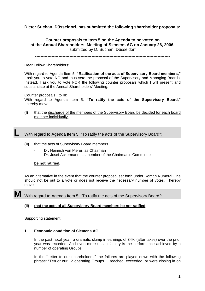**Dieter Suchan, Düsseldorf, has submitted the following shareholder proposals:** 

**Counter proposals to Item 5 on the Agenda to be voted on at the Annual Shareholders' Meeting of Siemens AG on January 26, 2006,** submitted by D. Suchan, Düsseldorf

--------------------------------------------------------------------------------------------------

Dear Fellow Shareholders:

With regard to Agenda Item 5, **"Ratification of the acts of Supervisory Board members,"** I ask you to vote NO and thus veto the proposal of the Supervisory and Managing Boards. Instead, I ask you to vote FOR the following counter proposals which I will present and substantiate at the Annual Shareholders' Meeting.

Counter proposals I to III:

With regard to Agenda Item 5, **"To ratify the acts of the Supervisory Board,"** I hereby move

**(I)** that the discharge of the members of the Supervisory Board be decided for each board member individually,

**L** With regard to Agenda Item 5, "To ratify the acts of the Supervisory Board*"*:

- **(II)** that the acts of Supervisory Board members
	- Dr. Heinrich von Pierer, as Chairman
	- Dr. Josef Ackermann, as member of the Chairman's Committee

#### **be not ratified.**

As an alternative in the event that the counter proposal set forth under Roman Numeral One should not be put to a vote or does not receive the necessary number of votes, I hereby move

**M** With regard to Agenda Item 5, "To ratify the acts of the Supervisory Board*"*:

#### **(II) that the acts of all Supervisory Board members be not ratified.**

#### Supporting statement:

#### **1. Economic condition of Siemens AG**

In the past fiscal year, a dramatic slump in earnings of 34% (after taxes) over the prior year was recorded. And even more unsatisfactory is the performance achieved by a number of operating Groups.

In the "Letter to our shareholders," the failures are played down with the following phrase: "Ten or our 12 operating Groups ... reached, exceeded, or were closing in on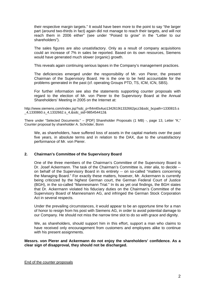their respective margin targets." It would have been more to the point to say "the larger part (around two-thirds in fact) again did not manage to reach their targets, and will not reach them in 2006 either" (see under "Poised to grow" in the "Letter to our shareholders").

The sales figures are also unsatisfactory. Only as a result of company acquisitions could an increase of 7% in sales be reported. Based on its own resources, Siemens would have generated much slower (organic) growth.

This reveals again continuing serious lapses in the Company's management practices.

The deficiencies emerged under the responsibility of Mr. von Pierer, the present Chairman of the Supervisory Board. He is the one to be held accountable for the problems generated in the past (cf. operating Groups PTD, TS, ICM, ICN, SBS).

For further information see also the statements supporting counter proposals with regard to the election of Mr. von Pierer to the Supervisory Board at the Annual Shareholders' Meeting in 2005 on the Internet at:

http://www.siemens.com/index.jsp?sdc\_p=ft4ml0s4uo1342619i1332662pcz3&sdc\_bcpath=1330815.s \_4,1330860.s\_4,1332662.s\_4,&sdc\_sid=985454412&

There under "Selected Documents:" – [PDF] Shareholder Proposals (1 MB) -, page 13, Letter "K," Counter proposal by shareholder A. Schröder, Bonn

We, as shareholders, have suffered loss of assets in the capital markets over the past five years, in absolute terms and in relation to the DAX, due to the unsatisfactory performance of Mr. von Pierer.

### **2. Chairman's Committee of the Supervisory Board**

One of the three members of the Chairman's Committee of the Supervisory Board is Dr. Josef Ackermann. The task of the Chairman's Committee is, *inter alia*, to decide - on behalf of the Supervisory Board in its entirety -- on so-called "matters concerning the Managing Board." For exactly these matters, however, Mr. Ackermann is currently being criticized by the highest German court, the German Federal Court of Justice (BGH), in the so-called "Mannesmann Trial." In its as yet oral findings, the BGH states that Dr. Ackermann violated his fiduciary duties on the Chairman's Committee of the Supervisory Board of Mannesmann AG, and infringed the German Stock Corporation Act in several respects.

Under the prevailing circumstances, it would appear to be an opportune time for a man of honor to resign from his post with Siemens AG, in order to avoid potential damage to our Company. He should not miss the narrow time slot to do so with grace and dignity.

We, as shareholders, should support him in this effort, support a man who claims to have received only encouragement from customers and employees alike to continue with his present assignments.

**Messrs. von Pierer and Ackermann do not enjoy the shareholders' confidence. As a clear sign of disapproval, they should not be discharged.**